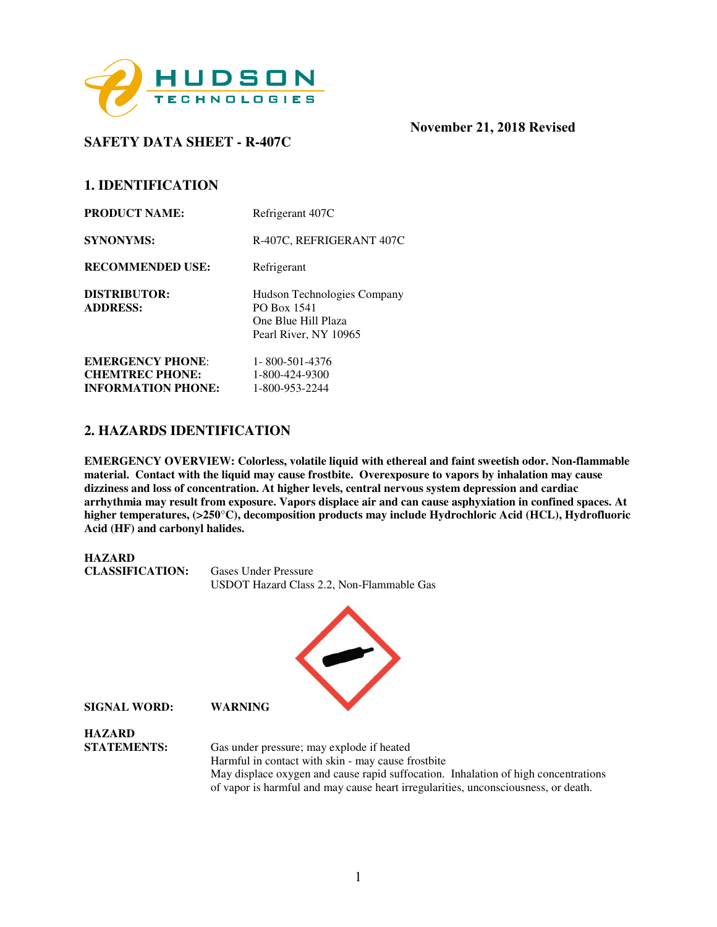

# **SAFETY DATA SHEET - R-407C**

## **1. IDENTIFICATION**

| R-407C, REFRIGERANT 407C                                                                   |
|--------------------------------------------------------------------------------------------|
| Refrigerant                                                                                |
| Hudson Technologies Company<br>PO Box 1541<br>One Blue Hill Plaza<br>Pearl River, NY 10965 |
| 1-800-501-4376<br>1-800-424-9300<br>1-800-953-2244                                         |
|                                                                                            |

## **2. HAZARDS IDENTIFICATION**

**EMERGENCY OVERVIEW: Colorless, volatile liquid with ethereal and faint sweetish odor. Non-flammable material. Contact with the liquid may cause frostbite. Overexposure to vapors by inhalation may cause dizziness and loss of concentration. At higher levels, central nervous system depression and cardiac arrhythmia may result from exposure. Vapors displace air and can cause asphyxiation in confined spaces. At higher temperatures, (>250**°**C), decomposition products may include Hydrochloric Acid (HCL), Hydrofluoric Acid (HF) and carbonyl halides.** 

**HAZARD CLASSIFICATION:** Gases Under Pressure USDOT Hazard Class 2.2, Non-Flammable Gas



**HAZARD STATEMENTS:** Gas under pressure; may explode if heated Harmful in contact with skin - may cause frostbite May displace oxygen and cause rapid suffocation. Inhalation of high concentrations of vapor is harmful and may cause heart irregularities, unconsciousness, or death.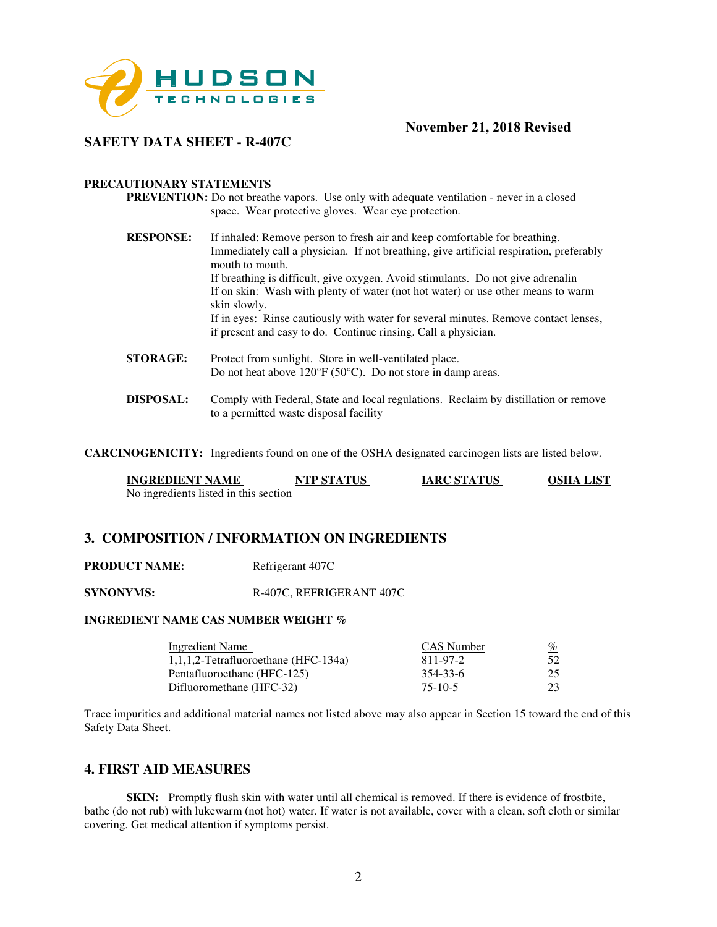

## **SAFETY DATA SHEET - R-407C**

#### **PRECAUTIONARY STATEMENTS**

**PREVENTION:** Do not breathe vapors. Use only with adequate ventilation - never in a closed space. Wear protective gloves. Wear eye protection.

- **RESPONSE:** If inhaled: Remove person to fresh air and keep comfortable for breathing. Immediately call a physician. If not breathing, give artificial respiration, preferably mouth to mouth. If breathing is difficult, give oxygen. Avoid stimulants. Do not give adrenalin If on skin: Wash with plenty of water (not hot water) or use other means to warm skin slowly. If in eyes: Rinse cautiously with water for several minutes. Remove contact lenses, if present and easy to do. Continue rinsing. Call a physician. **STORAGE:** Protect from sunlight. Store in well-ventilated place.
- Do not heat above 120°F (50°C). Do not store in damp areas. **DISPOSAL:** Comply with Federal, State and local regulations. Reclaim by distillation or remove
	- to a permitted waste disposal facility

**CARCINOGENICITY:** Ingredients found on one of the OSHA designated carcinogen lists are listed below.

| <b>INGREDIENT NAME</b>                | <b>NTP STATUS</b> | <b>IARC STATUS</b> | <b>OSHA LIST</b> |
|---------------------------------------|-------------------|--------------------|------------------|
| No ingredients listed in this section |                   |                    |                  |

## **3. COMPOSITION / INFORMATION ON INGREDIENTS**

**PRODUCT NAME:** Refrigerant 407C

**SYNONYMS:** R-407C, REFRIGERANT 407C

#### **INGREDIENT NAME CAS NUMBER WEIGHT %**

| Ingredient Name                         | CAS Number | <u>%</u> |
|-----------------------------------------|------------|----------|
| $1,1,1,2$ -Tetrafluoroethane (HFC-134a) | 811-97-2   | 52       |
| Pentafluoroethane (HFC-125)             | 354-33-6   | 25       |
| Difluoromethane (HFC-32)                | $75-10-5$  | 23       |

Trace impurities and additional material names not listed above may also appear in Section 15 toward the end of this Safety Data Sheet.

### **4. FIRST AID MEASURES**

**SKIN:** Promptly flush skin with water until all chemical is removed. If there is evidence of frostbite, bathe (do not rub) with lukewarm (not hot) water. If water is not available, cover with a clean, soft cloth or similar covering. Get medical attention if symptoms persist.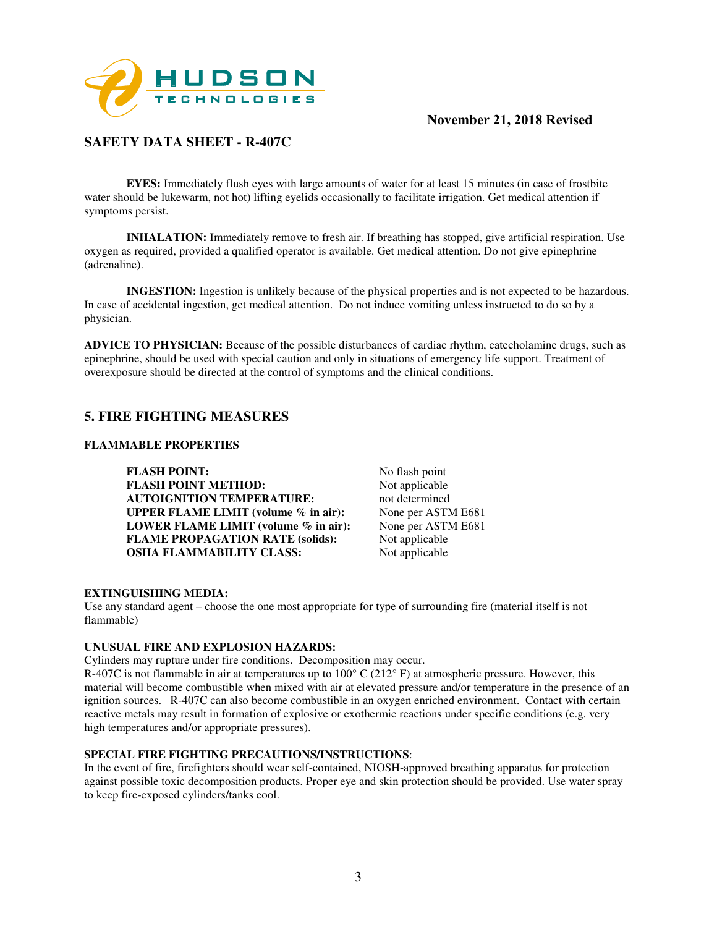

# **SAFETY DATA SHEET - R-407C**

**EYES:** Immediately flush eyes with large amounts of water for at least 15 minutes (in case of frostbite water should be lukewarm, not hot) lifting eyelids occasionally to facilitate irrigation. Get medical attention if symptoms persist.

**INHALATION:** Immediately remove to fresh air. If breathing has stopped, give artificial respiration. Use oxygen as required, provided a qualified operator is available. Get medical attention. Do not give epinephrine (adrenaline).

**INGESTION:** Ingestion is unlikely because of the physical properties and is not expected to be hazardous. In case of accidental ingestion, get medical attention. Do not induce vomiting unless instructed to do so by a physician.

**ADVICE TO PHYSICIAN:** Because of the possible disturbances of cardiac rhythm, catecholamine drugs, such as epinephrine, should be used with special caution and only in situations of emergency life support. Treatment of overexposure should be directed at the control of symptoms and the clinical conditions.

## **5. FIRE FIGHTING MEASURES**

#### **FLAMMABLE PROPERTIES**

**FLASH POINT:** No flash point **FLASH POINT METHOD:** Not applicable **AUTOIGNITION TEMPERATURE:** not determined **UPPER FLAME LIMIT (volume % in air):** None per ASTM E681 **LOWER FLAME LIMIT (volume % in air):** None per ASTM E681 **FLAME PROPAGATION RATE (solids):** Not applicable **OSHA FLAMMABILITY CLASS:** Not applicable

#### **EXTINGUISHING MEDIA:**

Use any standard agent – choose the one most appropriate for type of surrounding fire (material itself is not flammable)

#### **UNUSUAL FIRE AND EXPLOSION HAZARDS:**

Cylinders may rupture under fire conditions. Decomposition may occur.

R-407C is not flammable in air at temperatures up to  $100^{\circ}$  C ( $212^{\circ}$  F) at atmospheric pressure. However, this material will become combustible when mixed with air at elevated pressure and/or temperature in the presence of an ignition sources. R-407C can also become combustible in an oxygen enriched environment. Contact with certain reactive metals may result in formation of explosive or exothermic reactions under specific conditions (e.g. very high temperatures and/or appropriate pressures).

#### **SPECIAL FIRE FIGHTING PRECAUTIONS/INSTRUCTIONS**:

In the event of fire, firefighters should wear self-contained, NIOSH-approved breathing apparatus for protection against possible toxic decomposition products. Proper eye and skin protection should be provided. Use water spray to keep fire-exposed cylinders/tanks cool.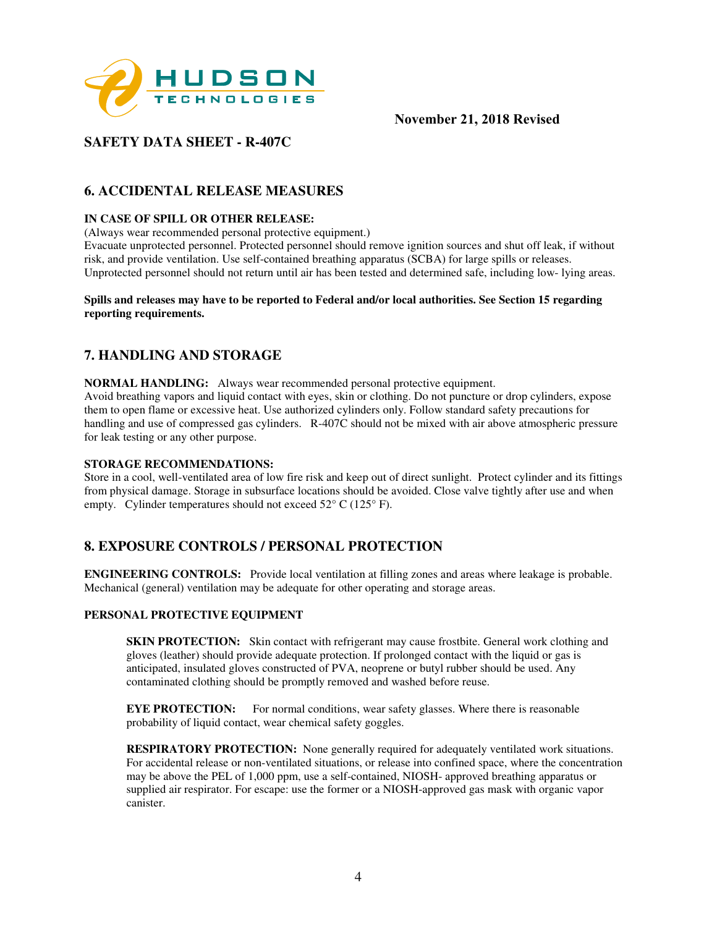

# **SAFETY DATA SHEET - R-407C**

## **6. ACCIDENTAL RELEASE MEASURES**

#### **IN CASE OF SPILL OR OTHER RELEASE:**

(Always wear recommended personal protective equipment.)

Evacuate unprotected personnel. Protected personnel should remove ignition sources and shut off leak, if without risk, and provide ventilation. Use self-contained breathing apparatus (SCBA) for large spills or releases. Unprotected personnel should not return until air has been tested and determined safe, including low- lying areas.

#### **Spills and releases may have to be reported to Federal and/or local authorities. See Section 15 regarding reporting requirements.**

## **7. HANDLING AND STORAGE**

**NORMAL HANDLING:** Always wear recommended personal protective equipment. Avoid breathing vapors and liquid contact with eyes, skin or clothing. Do not puncture or drop cylinders, expose them to open flame or excessive heat. Use authorized cylinders only. Follow standard safety precautions for handling and use of compressed gas cylinders. R-407C should not be mixed with air above atmospheric pressure for leak testing or any other purpose.

#### **STORAGE RECOMMENDATIONS:**

Store in a cool, well-ventilated area of low fire risk and keep out of direct sunlight. Protect cylinder and its fittings from physical damage. Storage in subsurface locations should be avoided. Close valve tightly after use and when empty. Cylinder temperatures should not exceed  $52^{\circ}$  C (125° F).

## **8. EXPOSURE CONTROLS / PERSONAL PROTECTION**

**ENGINEERING CONTROLS:** Provide local ventilation at filling zones and areas where leakage is probable. Mechanical (general) ventilation may be adequate for other operating and storage areas.

#### **PERSONAL PROTECTIVE EQUIPMENT**

**SKIN PROTECTION:** Skin contact with refrigerant may cause frostbite. General work clothing and gloves (leather) should provide adequate protection. If prolonged contact with the liquid or gas is anticipated, insulated gloves constructed of PVA, neoprene or butyl rubber should be used. Any contaminated clothing should be promptly removed and washed before reuse.

**EYE PROTECTION:** For normal conditions, wear safety glasses. Where there is reasonable probability of liquid contact, wear chemical safety goggles.

**RESPIRATORY PROTECTION:** None generally required for adequately ventilated work situations. For accidental release or non-ventilated situations, or release into confined space, where the concentration may be above the PEL of 1,000 ppm, use a self-contained, NIOSH- approved breathing apparatus or supplied air respirator. For escape: use the former or a NIOSH-approved gas mask with organic vapor canister.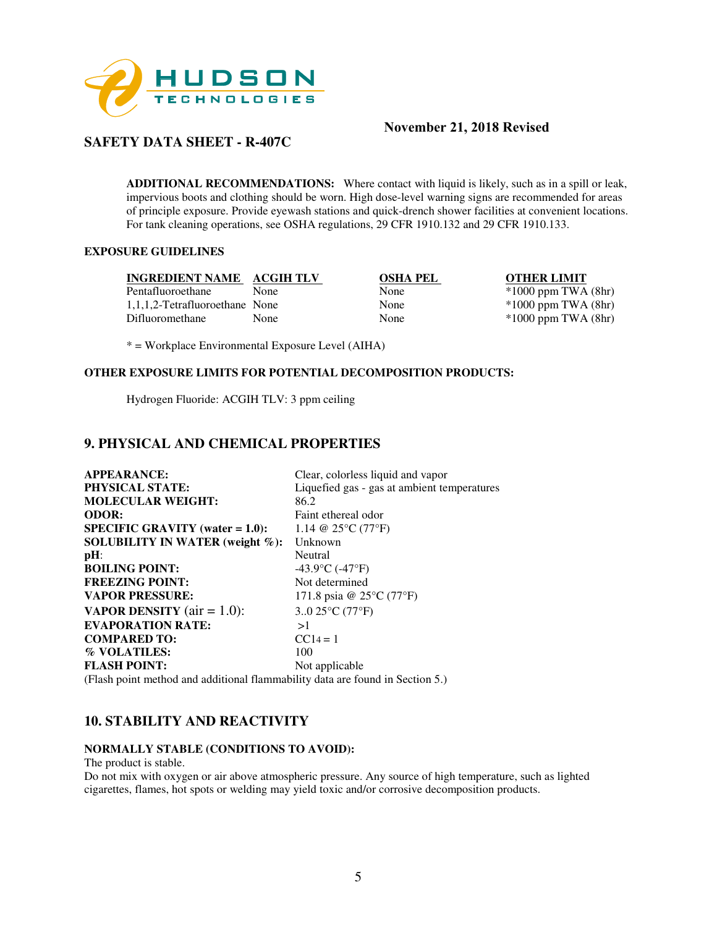

## **SAFETY DATA SHEET - R-407C**

**ADDITIONAL RECOMMENDATIONS:** Where contact with liquid is likely, such as in a spill or leak, impervious boots and clothing should be worn. High dose-level warning signs are recommended for areas of principle exposure. Provide eyewash stations and quick-drench shower facilities at convenient locations. For tank cleaning operations, see OSHA regulations, 29 CFR 1910.132 and 29 CFR 1910.133.

### **EXPOSURE GUIDELINES**

| INGREDIENT NAME ACGIH TLV      |             | <b>OSHA PEL</b> | <b>OTHER LIMIT</b>      |
|--------------------------------|-------------|-----------------|-------------------------|
| Pentafluoroethane              | <b>None</b> | None            | $*1000$ ppm TWA $(8hr)$ |
| 1,1,1,2-Tetrafluoroethane None |             | None            | $*1000$ ppm TWA $(8hr)$ |
| Difluoromethane                | None.       | None            | $*1000$ ppm TWA $(8hr)$ |

\* = Workplace Environmental Exposure Level (AIHA)

#### **OTHER EXPOSURE LIMITS FOR POTENTIAL DECOMPOSITION PRODUCTS:**

Hydrogen Fluoride: ACGIH TLV: 3 ppm ceiling

## **9. PHYSICAL AND CHEMICAL PROPERTIES**

**APPEARANCE:** Clear, colorless liquid and vapor **PHYSICAL STATE:** Liquefied gas - gas at ambient temperatures **MOLECULAR WEIGHT:** 86.2 **ODOR:** Faint ethereal odor **SPECIFIC GRAVITY (water = 1.0):**  $1.14 \ @ 25^{\circ}C (77^{\circ}F)$ **SOLUBILITY IN WATER (weight %):** Unknown **pH:**<br> **BOILING POINT:**<br>  $-43.9^{\circ}C (-47^{\circ}F)$ **BOILING POINT: FREEZING POINT:** Not determined **VAPOR PRESSURE:** 171.8 psia @ 25°C (77°F) **VAPOR DENSITY** (air = 1.0):  $3.0 25^{\circ}$ C (77<sup>°</sup>F) **EVAPORATION RATE:** >1 **COMPARED TO:** CC14 = 1 **% VOLATILES:** 100 **FLASH POINT:** Not applicable (Flash point method and additional flammability data are found in Section 5.)

## **10. STABILITY AND REACTIVITY**

#### **NORMALLY STABLE (CONDITIONS TO AVOID):**

The product is stable.

Do not mix with oxygen or air above atmospheric pressure. Any source of high temperature, such as lighted cigarettes, flames, hot spots or welding may yield toxic and/or corrosive decomposition products.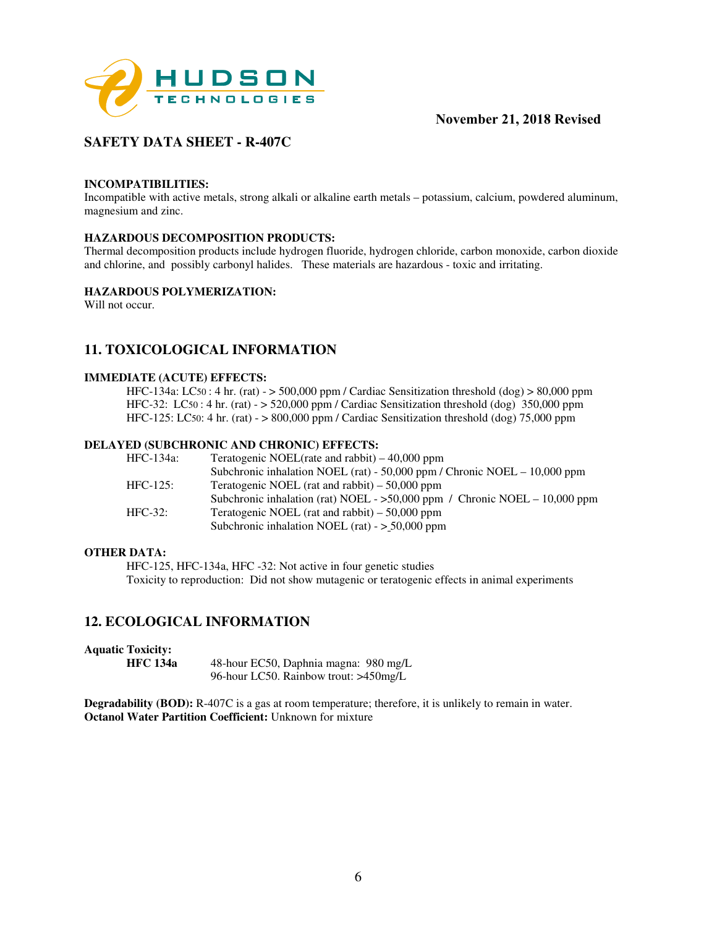

# **SAFETY DATA SHEET - R-407C**

#### **INCOMPATIBILITIES:**

Incompatible with active metals, strong alkali or alkaline earth metals – potassium, calcium, powdered aluminum, magnesium and zinc.

#### **HAZARDOUS DECOMPOSITION PRODUCTS:**

Thermal decomposition products include hydrogen fluoride, hydrogen chloride, carbon monoxide, carbon dioxide and chlorine, and possibly carbonyl halides. These materials are hazardous - toxic and irritating.

#### **HAZARDOUS POLYMERIZATION:**

Will not occur.

# **11. TOXICOLOGICAL INFORMATION**

#### **IMMEDIATE (ACUTE) EFFECTS:**

HFC-134a: LC50 : 4 hr. (rat) - > 500,000 ppm / Cardiac Sensitization threshold (dog) > 80,000 ppm HFC-32: LC50 : 4 hr. (rat)  $-$  > 520,000 ppm / Cardiac Sensitization threshold (dog) 350,000 ppm HFC-125: LC50: 4 hr. (rat) - > 800,000 ppm / Cardiac Sensitization threshold (dog) 75,000 ppm

#### **DELAYED (SUBCHRONIC AND CHRONIC) EFFECTS:**

| <b>HFC-134a:</b> | Teratogenic NOEL(rate and rabbit) $-40,000$ ppm                               |
|------------------|-------------------------------------------------------------------------------|
|                  | Subchronic inhalation NOEL (rat) - $50,000$ ppm / Chronic NOEL - $10,000$ ppm |
| $HFC-125$ :      | Teratogenic NOEL (rat and rabbit) $-50,000$ ppm                               |
|                  | Subchronic inhalation (rat) NOEL - $>50,000$ ppm / Chronic NOEL - 10,000 ppm  |
| $HFC-32:$        | Teratogenic NOEL (rat and rabbit) $-50,000$ ppm                               |
|                  | Subchronic inhalation NOEL (rat) - $> 50,000$ ppm                             |

#### **OTHER DATA:**

HFC-125, HFC-134a, HFC -32: Not active in four genetic studies Toxicity to reproduction: Did not show mutagenic or teratogenic effects in animal experiments

## **12. ECOLOGICAL INFORMATION**

**Aquatic Toxicity:** 

**HFC 134a** 48-hour EC50, Daphnia magna: 980 mg/L 96-hour LC50. Rainbow trout: >450mg/L

**Degradability (BOD):** R-407C is a gas at room temperature; therefore, it is unlikely to remain in water. **Octanol Water Partition Coefficient: Unknown for mixture**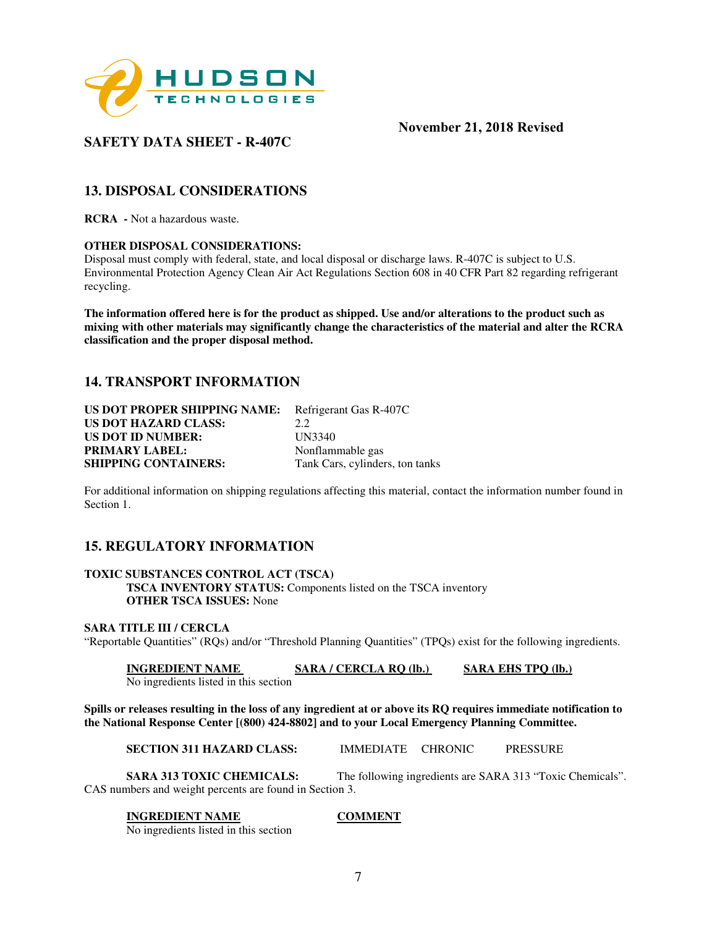

# **SAFETY DATA SHEET - R-407C**

## **13. DISPOSAL CONSIDERATIONS**

**RCRA -** Not a hazardous waste.

#### **OTHER DISPOSAL CONSIDERATIONS:**

Disposal must comply with federal, state, and local disposal or discharge laws. R-407C is subject to U.S. Environmental Protection Agency Clean Air Act Regulations Section 608 in 40 CFR Part 82 regarding refrigerant recycling.

**The information offered here is for the product as shipped. Use and/or alterations to the product such as mixing with other materials may significantly change the characteristics of the material and alter the RCRA classification and the proper disposal method.** 

## **14. TRANSPORT INFORMATION**

| US DOT PROPER SHIPPING NAME: | Refrigerant Gas R-407C          |
|------------------------------|---------------------------------|
| <b>US DOT HAZARD CLASS:</b>  | 2.2.                            |
| <b>US DOT ID NUMBER:</b>     | UN3340                          |
| <b>PRIMARY LABEL:</b>        | Nonflammable gas                |
| <b>SHIPPING CONTAINERS:</b>  | Tank Cars, cylinders, ton tanks |

For additional information on shipping regulations affecting this material, contact the information number found in Section 1.

## **15. REGULATORY INFORMATION**

**TOXIC SUBSTANCES CONTROL ACT (TSCA) TSCA INVENTORY STATUS:** Components listed on the TSCA inventory **OTHER TSCA ISSUES:** None

#### **SARA TITLE III / CERCLA**

"Reportable Quantities" (RQs) and/or "Threshold Planning Quantities" (TPQs) exist for the following ingredients.

**INGREDIENT NAME SARA / CERCLA RQ (lb.) SARA EHS TPQ (lb.)** No ingredients listed in this section

**Spills or releases resulting in the loss of any ingredient at or above its RQ requires immediate notification to the National Response Center [(800) 424-8802] and to your Local Emergency Planning Committee.** 

**SECTION 311 HAZARD CLASS:** IMMEDIATE CHRONIC PRESSURE

**SARA 313 TOXIC CHEMICALS:** The following ingredients are SARA 313 "Toxic Chemicals". CAS numbers and weight percents are found in Section 3.

#### **INGREDIENT NAME COMMENT**

No ingredients listed in this section